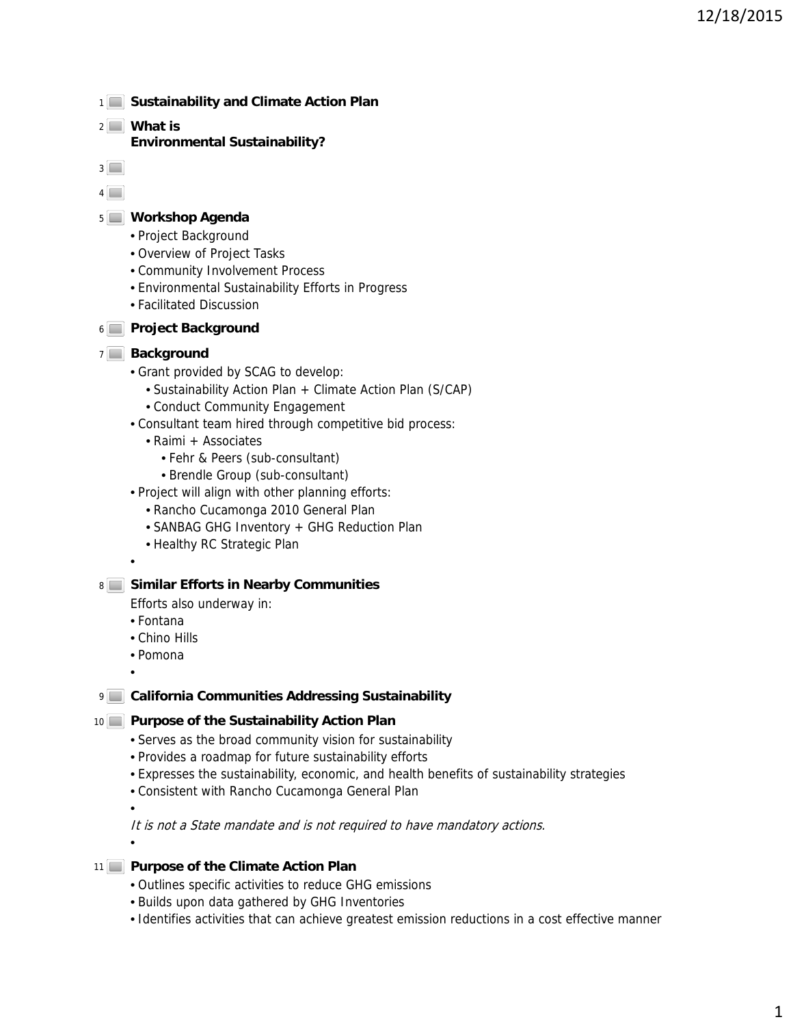- 1<sup>1</sup> Sustainability and Climate Action Plan
- **What is**  2

**Environmental Sustainability?**

- $3$
- $4$

## **Workshop Agenda** 5

- Project Background
- Overview of Project Tasks
- Community Involvement Process
- Environmental Sustainability Efforts in Progress
- Facilitated Discussion

# **Project Background** 6

## 7<sup>1</sup> Background

- Grant provided by SCAG to develop:
	- Sustainability Action Plan + Climate Action Plan (S/CAP)
	- Conduct Community Engagement
- Consultant team hired through competitive bid process:
	- Raimi + Associates
		- Fehr & Peers (sub-consultant)
		- Brendle Group (sub-consultant)
- Project will align with other planning efforts:
	- Rancho Cucamonga 2010 General Plan
	- SANBAG GHG Inventory + GHG Reduction Plan
	- Healthy RC Strategic Plan

### **Similar Efforts in Nearby Communities** 8

Efforts also underway in:

- Fontana
- Chino Hills
- Pomona
- •

•

# **California Communities Addressing Sustainability**

# 10 **Purpose of the Sustainability Action Plan**

- Serves as the broad community vision for sustainability
- Provides a roadmap for future sustainability efforts
- Expresses the sustainability, economic, and health benefits of sustainability strategies
- Consistent with Rancho Cucamonga General Plan

•

It is not a State mandate and is not required to have mandatory actions.

•

# **Purpose of the Climate Action Plan** 11

- Outlines specific activities to reduce GHG emissions
- Builds upon data gathered by GHG Inventories
- Identifies activities that can achieve greatest emission reductions in a cost effective manner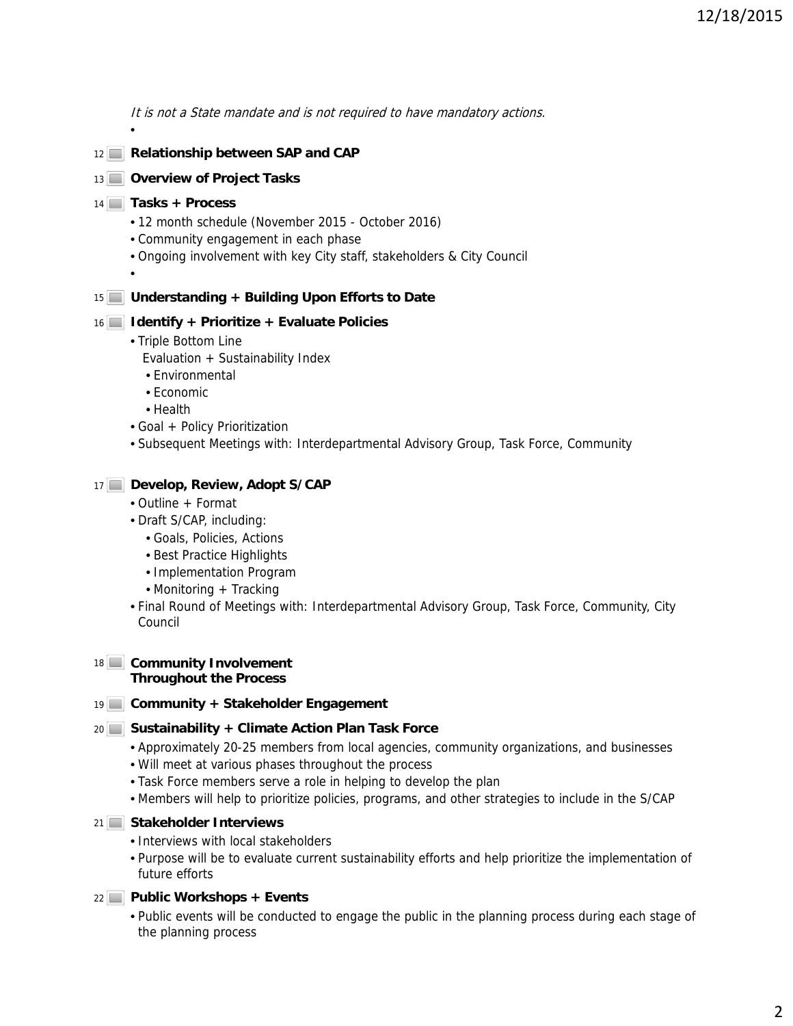It is not a State mandate and is not required to have mandatory actions.

12<sup>|</sup> Relationship between SAP and CAP

## 13 **Overview of Project Tasks**

### **Tasks + Process** 14

- 12 month schedule (November 2015 October 2016)
- Community engagement in each phase
- Ongoing involvement with key City staff, stakeholders & City Council
- •

•

## **Understanding + Building Upon Efforts to Date** 15

## **Identify + Prioritize + Evaluate Policies** 16

- Triple Bottom Line
	- Evaluation + Sustainability Index
	- Environmental
	- Economic
	- Health
- Goal + Policy Prioritization
- Subsequent Meetings with: Interdepartmental Advisory Group, Task Force, Community

## **Develop, Review, Adopt S/CAP**  17

- Outline + Format
- Draft S/CAP, including:
	- Goals, Policies, Actions
	- Best Practice Highlights
	- Implementation Program
	- Monitoring + Tracking
- Final Round of Meetings with: Interdepartmental Advisory Group, Task Force, Community, City Council

#### 18 Community Involvement **Throughout the Process**

### **Community + Stakeholder Engagement** 19

### 20 Sustainability + Climate Action Plan Task Force

- Approximately 20-25 members from local agencies, community organizations, and businesses
- Will meet at various phases throughout the process
- Task Force members serve a role in helping to develop the plan
- Members will help to prioritize policies, programs, and other strategies to include in the S/CAP

# **Stakeholder Interviews** 21

- Interviews with local stakeholders
- Purpose will be to evaluate current sustainability efforts and help prioritize the implementation of future efforts

### **Public Workshops + Events** 22

• Public events will be conducted to engage the public in the planning process during each stage of the planning process